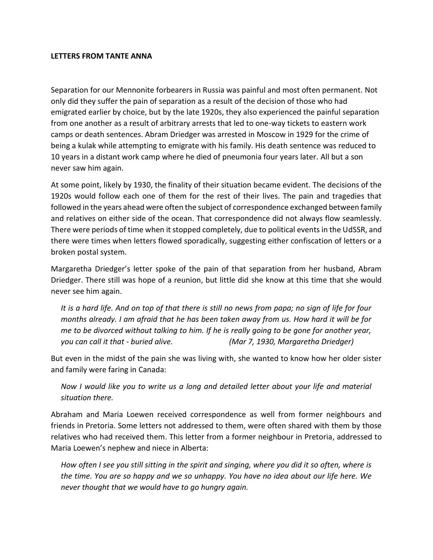## **LETTERS FROM TANTE ANNA**

Separation for our Mennonite forbearers in Russia was painful and most often permanent. Not only did they suffer the pain of separation as a result of the decision of those who had emigrated earlier by choice, but by the late 1920s, they also experienced the painful separation from one another as a result of arbitrary arrests that led to one-way tickets to eastern work camps or death sentences. Abram Driedger was arrested in Moscow in 1929 for the crime of being a kulak while attempting to emigrate with his family. His death sentence was reduced to 10 years in a distant work camp where he died of pneumonia four years later. All but a son never saw him again.

At some point, likely by 1930, the finality of their situation became evident. The decisions of the 1920s would follow each one of them for the rest of their lives. The pain and tragedies that followed in the years ahead were often the subject of correspondence exchanged between family and relatives on either side of the ocean. That correspondence did not always flow seamlessly. There were periods of time when it stopped completely, due to political events in the UdSSR, and there were times when letters flowed sporadically, suggesting either confiscation of letters or a broken postal system.

Margaretha Driedger's letter spoke of the pain of that separation from her husband, Abram Driedger. There still was hope of a reunion, but little did she know at this time that she would never see him again.

*It is a hard life. And on top of that there is still no news from papa; no sign of life for four months already. I am afraid that he has been taken away from us. How hard it will be for me to be divorced without talking to him. If he is really going to be gone for another year, you can call it that - buried alive. (Mar 7, 1930, Margaretha Driedger)*

But even in the midst of the pain she was living with, she wanted to know how her older sister and family were faring in Canada:

*Now I would like you to write us a long and detailed letter about your life and material situation there.*

Abraham and Maria Loewen received correspondence as well from former neighbours and friends in Pretoria. Some letters not addressed to them, were often shared with them by those relatives who had received them. This letter from a former neighbour in Pretoria, addressed to Maria Loewen's nephew and niece in Alberta:

*How often I see you still sitting in the spirit and singing, where you did it so often, where is the time. You are so happy and we so unhappy. You have no idea about our life here. We never thought that we would have to go hungry again.*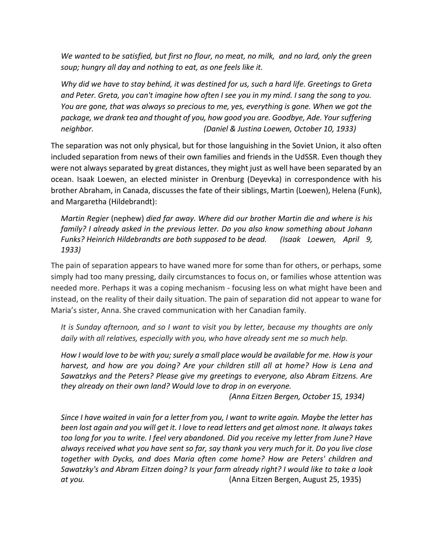*We wanted to be satisfied, but first no flour, no meat, no milk, and no lard, only the green soup; hungry all day and nothing to eat, as one feels like it.* 

*Why did we have to stay behind, it was destined for us, such a hard life. Greetings to Greta and Peter. Greta, you can't imagine how often I see you in my mind. I sang the song to you. You are gone, that was always so precious to me, yes, everything is gone. When we got the package, we drank tea and thought of you, how good you are. Goodbye, Ade. Your suffering neighbor. (Daniel & Justina Loewen, October 10, 1933)*

The separation was not only physical, but for those languishing in the Soviet Union, it also often included separation from news of their own families and friends in the UdSSR. Even though they were not always separated by great distances, they might just as well have been separated by an ocean. Isaak Loewen, an elected minister in Orenburg (Deyevka) in correspondence with his brother Abraham, in Canada, discusses the fate of their siblings, Martin (Loewen), Helena (Funk), and Margaretha (Hildebrandt):

*Martin Regier* (nephew) *died far away. Where did our brother Martin die and where is his family? I already asked in the previous letter. Do you also know something about Johann Funks? Heinrich Hildebrandts are both supposed to be dead. (Isaak Loewen, April 9, 1933)*

The pain of separation appears to have waned more for some than for others, or perhaps, some simply had too many pressing, daily circumstances to focus on, or families whose attention was needed more. Perhaps it was a coping mechanism - focusing less on what might have been and instead, on the reality of their daily situation. The pain of separation did not appear to wane for Maria's sister, Anna. She craved communication with her Canadian family.

*It is Sunday afternoon, and so I want to visit you by letter, because my thoughts are only daily with all relatives, especially with you, who have already sent me so much help.* 

*How I would love to be with you; surely a small place would be available for me. How is your harvest, and how are you doing? Are your children still all at home? How is Lena and Sawatzkys and the Peters? Please give my greetings to everyone, also Abram Eitzens. Are they already on their own land? Would love to drop in on everyone.* 

*(Anna Eitzen Bergen, October 15, 1934)*

*Since I have waited in vain for a letter from you, I want to write again. Maybe the letter has been lost again and you will get it. I love to read letters and get almost none. It always takes too long for you to write. I feel very abandoned. Did you receive my letter from June? Have always received what you have sent so far, say thank you very much for it. Do you live close together with Dycks, and does Maria often come home? How are Peters' children and Sawatzky's and Abram Eitzen doing? Is your farm already right? I would like to take a look at you.* (Anna Eitzen Bergen, August 25, 1935)